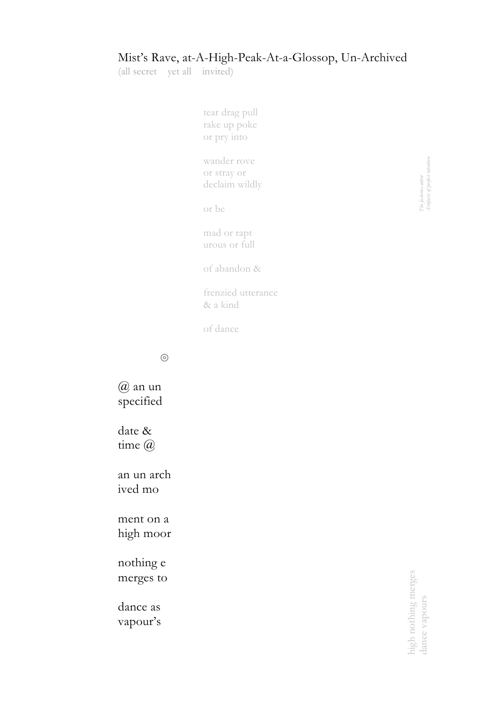## Mist's Rave, at-A-High-Peak-At-a-Glossop, Un-Archived

(all secret yet all invited)

tear drag pull rake up poke or pry into wander rove or stray or declaim wildly or be mad or rapt urous or full of abandon & frenzied utterance & a kind of dance

◎

@ an un specified

date & time @

an un arch ived mo

ment on a high moor

nothing e merges to

dance as vapour's The factories utter<br>Artefacts of perfect intention *Artefacts of perfect intentionThe factories uttter*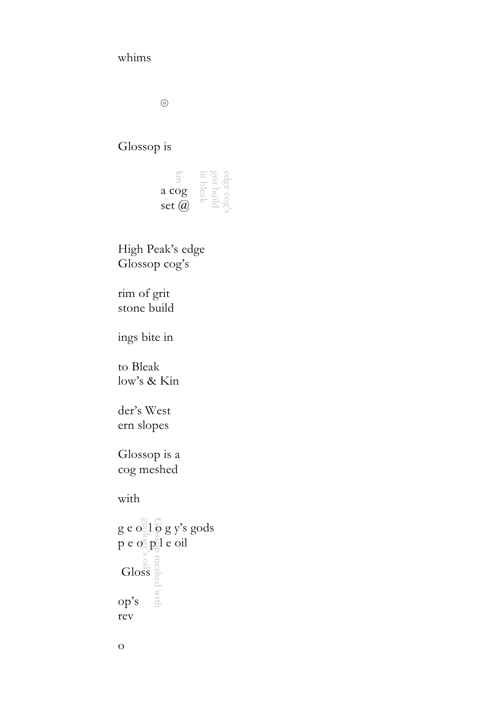## whims

◎

## Glossop is

| a cog     |  |
|-----------|--|
| set $(a)$ |  |

High Peak's edge Glossop cog's

rim of grit stone build

ings bite in

to Bleak low's & Kin

der's West ern slopes

Glossop is a cog meshed

with

geology's oil Glossop meshed with  $g e$  o  $1\overline{0}$   $g y$ 's gods p e o p e oil Gloss op's rev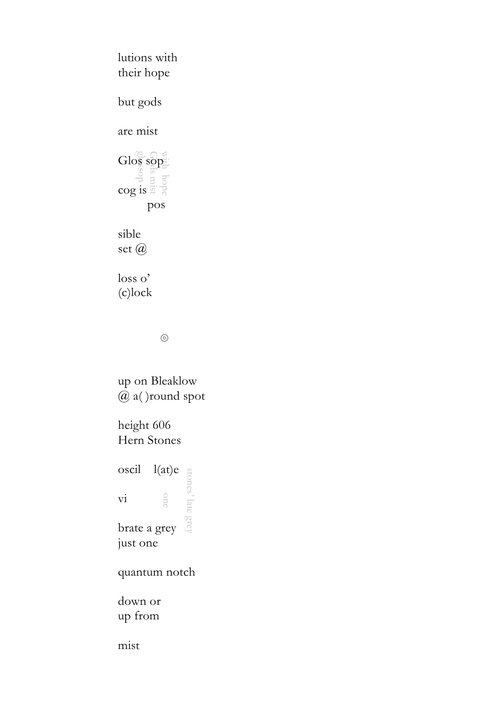$\frac{\text{Glo}^{\text{ex}}_{\text{S}}}{\frac{3}{2}} \frac{\text{Sop}}{\text{Sop}}$ Gods mist  $\frac{\text{Glo}_{\text{ss}}^{\text{eq}}\text{so}_{\text{p}}^{\text{eq}}}{\text{co} \text{g}^{\text{eq}}_{\text{p}}^{\text{eq}}}$ lutions with their hope but gods are mist pos sible set @ loss o' (c)lock

◎

up on Bleaklow @ a( )round spot

height 606 Hern Stones

stones' late grey oscil l (at) e vi

brate a grey just one

quantum notch

down or up from

mist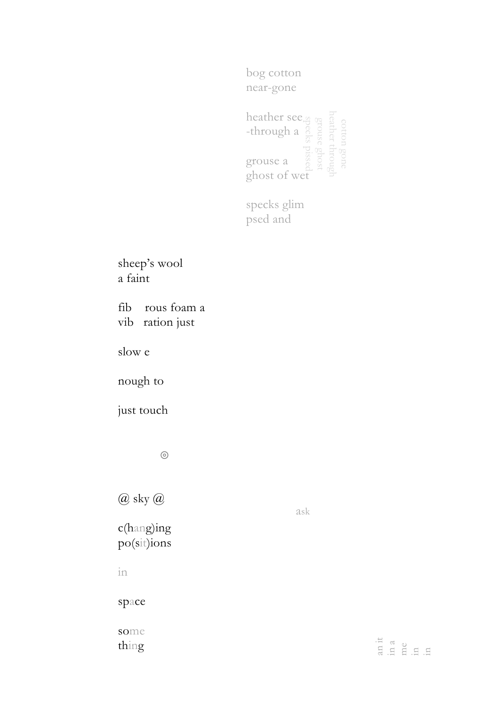bog cotton near-gone

heather see -through a grouse a ghost of wet

specks glim psed and

sheep's wool a faint

fib rous foam a vib ration just

slow e

nough to

just touch

◎

@ sky @

c(hang)ing po(sit)ions ask

tia<br>a die la la<br>a die la la

some thing

space

in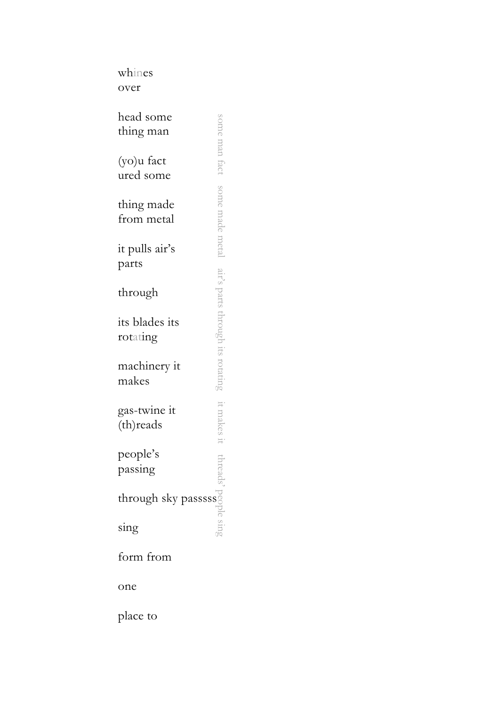whines over

| head some<br>thing man     |                 |
|----------------------------|-----------------|
| (yo)u fact<br>ured some    | hou tact        |
| thing made<br>from metal   | some made metal |
| it pulls air's<br>parts    |                 |
| through                    |                 |
| its blades its<br>rotating |                 |
| machinery it<br>makes      |                 |
| gas-twine it<br>(th)reads  |                 |
| people's<br>passing        |                 |
| through sky passsss        |                 |
| sing                       |                 |
| form from                  |                 |
| one                        |                 |

place to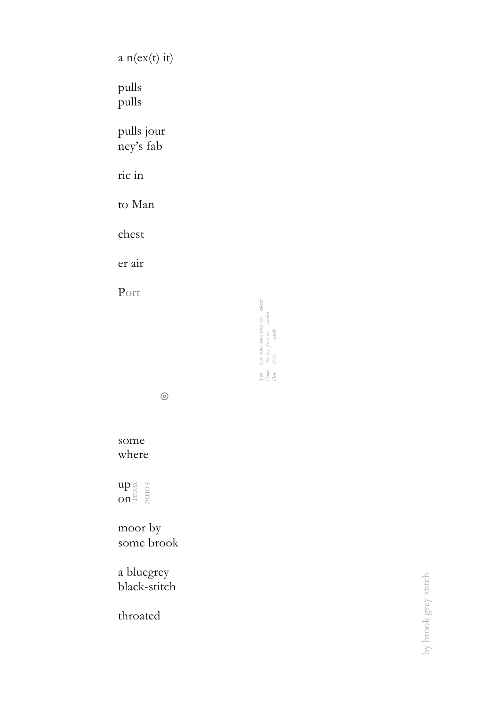a n(ex(t) it) pulls pulls pulls jour ney's fab ric in to Man chest er air Port

◎

*You have come down from the clouds From the sea, from the earlier Dew of the earth*

have come dann from the **douts**<br>the sea, from the **artier**<br>of the **carth** 

 $\begin{array}{l}\hbox{Your}\\ \hbox{From}\\ Dom\end{array}$ 

some where

 $\mathop{\mathrm{up}}\nolimits_{\mathop{\mathrm{an}}\nolimits}^{\otimes}$ on

moor by some brook

a bluegrey black -stitch

throated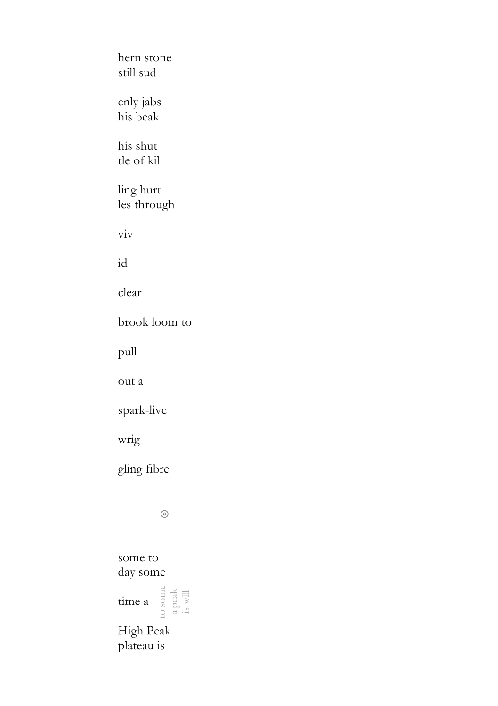hern stone still sud enly jabs his beak his shut tle of kil ling hurt les through viv id clear brook loom to pull out a spark-live wrig gling fibre ◎ some to day some

to some time a  $\frac{5}{3}$   $\frac{13}{3}$   $\frac{11}{3}$ 

High Peak plateau is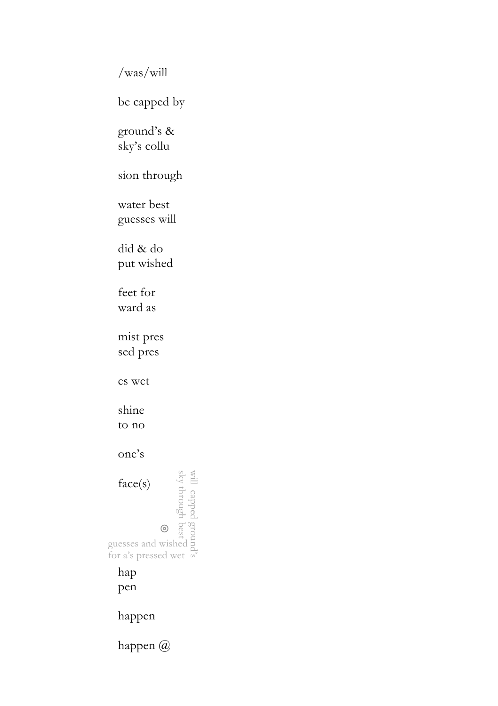/was/will

be capped by

ground's & sky's collu

sion through

water best guesses will

did & do put wished

feet for ward as

mist pres sed pres

es wet

shine to no

one's

will capped ground's sky through best guesses and wished for a's pressed wet face(s) ◎

hap pen

happen

happen @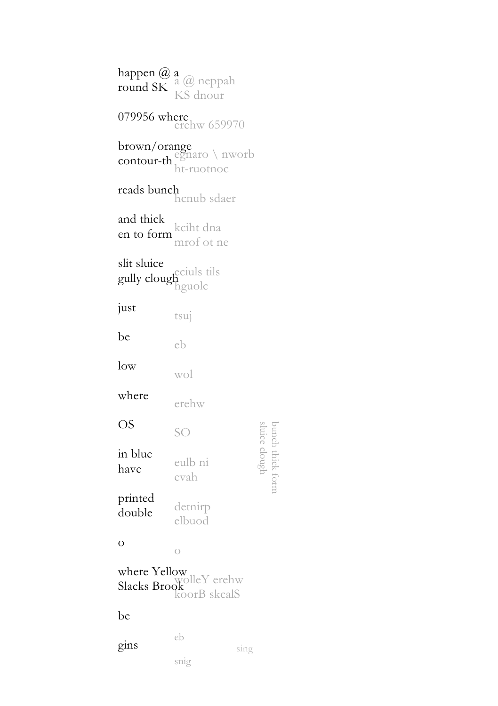happen @ a<br>round SK  $^a$  @ neppah round SK KS dnour 079956 where  $\frac{\text{e}}{\text{er}}$  659970 brown/orange egnaro \ nworb contour-th ht-ruotnoc reads bunch hcnub sdaer and thick<br>an to form <sup>kciht dna</sup> en to form mrof ot ne slit sluice eciuls tils gully clough<br>hguolc just tsuj be eb low wol where erehw OS bunch thick form<br>sluice clough sluice clough SO in blue eulb ni have evah printed detnirp double elbuod o o where Yellow wolleY erehw Slacks Brook koorB skcalS be eb  $\sin s$  sing snig

bunch thick form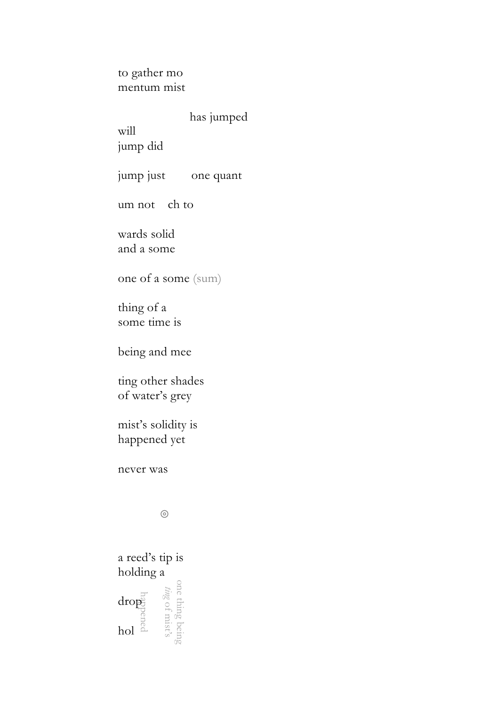to gather mo mentum mist

has jumped

will

jump did

jump just one quant

um not ch to

wards solid and a some

one of a some (sum)

thing of a some time is

being and mee

ting other shades of water's grey

mist's solidity is happened yet

never was

◎

one thing being *ting* **Example 18**<br>
drop<br>
drop<br>
drop<br>
drop<br>
drop<br>
drop<br>
drop<br>
drop<br>
drop<br>
drop<br>
drop<br>
drop<br>
drop<br>
drop<br>
drop<br>
drop<br>
drop<br>
drop<br>
drop<br>
drop<br>
drop<br>
drop<br>
drop<br>
drop<br>
drop<br>
drop<br>
drop<br>
drop<br>
drop<br>
drop<br>
drop<br>
drop<br>
drop<br>
drop<br>
drop a reed's tip is holding a hol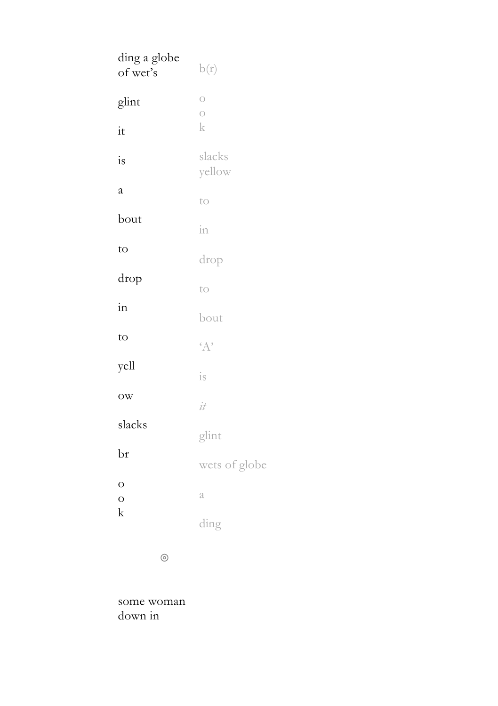| ding a globe<br>of wet's | b(r)                             |
|--------------------------|----------------------------------|
| glint                    | $\overline{O}$<br>$\overline{O}$ |
| it                       | k                                |
| is                       | slacks<br>yellow                 |
| a                        | to                               |
| bout                     | in                               |
| to                       | drop                             |
| drop                     | to                               |
| in                       | bout                             |
| to                       | $4^{\circ}$                      |
| yell                     | is                               |
| $_{\text{OW}}$           | it                               |
| slacks                   | glint                            |
| br                       | wets of globe                    |
| $\circ$<br>$\circ$       | a                                |
| k                        | ding                             |

◎

some woman down in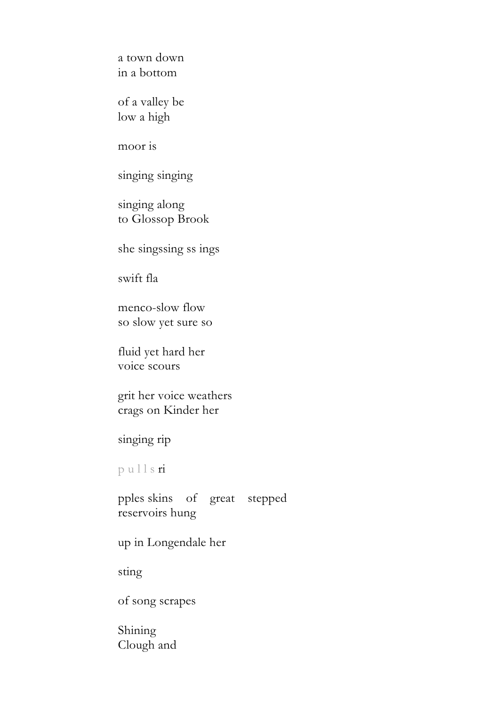a town down in a bottom

of a valley be low a high

moor is

singing singing

singing along to Glossop Brook

she singssing ss ings

swift fla

menco-slow flow so slow yet sure so

fluid yet hard her voice scours

grit her voice weathers crags on Kinder her

singing rip

p u l l s ri

pples skins of great stepped reservoirs hung

up in Longendale her

sting

of song scrapes

Shining Clough and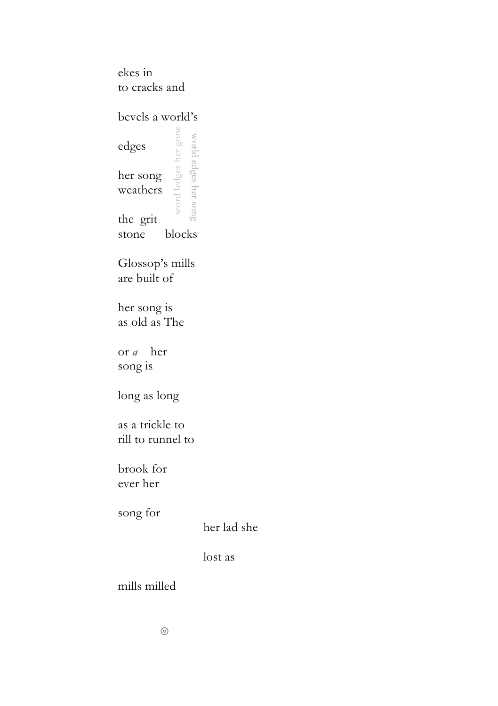ekes in to cracks and

bevels a world's

word ledges her gone word ledges her gone world edges her song world edges her song edges her song weathers the grit stone blocks

Glossop's mills are built of

her song is as old as The

or *a* her song is

long as long

as a trickle to rill to runnel to

brook for ever her

song for

her lad she

lost as

mills milled

◎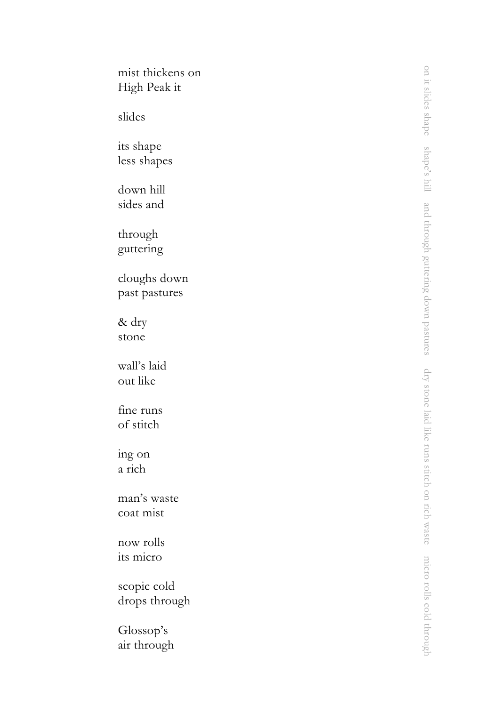| mist thickens on<br>High Peak it |
|----------------------------------|
| slides                           |
| its shape<br>less shapes         |
| down hill<br>sides and           |
| through<br>guttering             |
| cloughs down<br>past pastures    |
| & dry<br>stone                   |
| wall's laid<br>out like          |
| fine runs<br>of stitch           |
| ing on<br>a rich                 |
| man's waste<br>coat mist         |
| now rolls<br>its micro           |
| scopic cold<br>drops through     |
| Glossop's<br>air through         |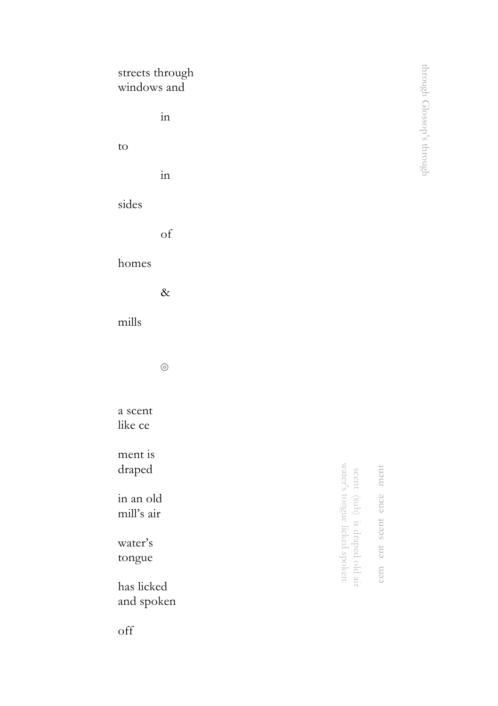| windows and              | streets through     |                                                               |                         | through Glossop's through |
|--------------------------|---------------------|---------------------------------------------------------------|-------------------------|---------------------------|
|                          | $\operatorname{in}$ |                                                               |                         |                           |
| to                       |                     |                                                               |                         |                           |
|                          | $\operatorname{in}$ |                                                               |                         |                           |
| sides                    |                     |                                                               |                         |                           |
|                          | of                  |                                                               |                         |                           |
| homes                    |                     |                                                               |                         |                           |
|                          | $\&$                |                                                               |                         |                           |
| mills                    |                     |                                                               |                         |                           |
|                          | $\odot$             |                                                               |                         |                           |
| a scent<br>like ce       |                     |                                                               |                         |                           |
| ment is<br>draped        |                     |                                                               |                         |                           |
| in an old<br>mill's air  |                     |                                                               |                         |                           |
| water's<br>tongue        |                     | scent (suh) is draped old air<br>water's tongue licked spoken | cem ent scent ence ment |                           |
| has licked<br>and spoken |                     |                                                               |                         |                           |

off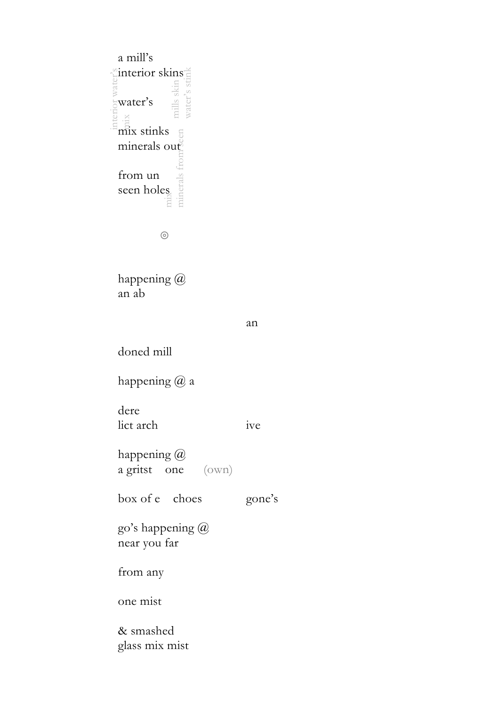mills skin water's stink interior water's mix mix stinks mix minerals from seen a mill's interior skins water's minerals out from un seen holes

◎

happening @ an ab

```
an
```
doned mill

happening @ a

dere lict arch ive

happening @ a gritst one (own)

box of e choes gone's

go's happening @ near you far

from any

one mist

& smashed glass mix mist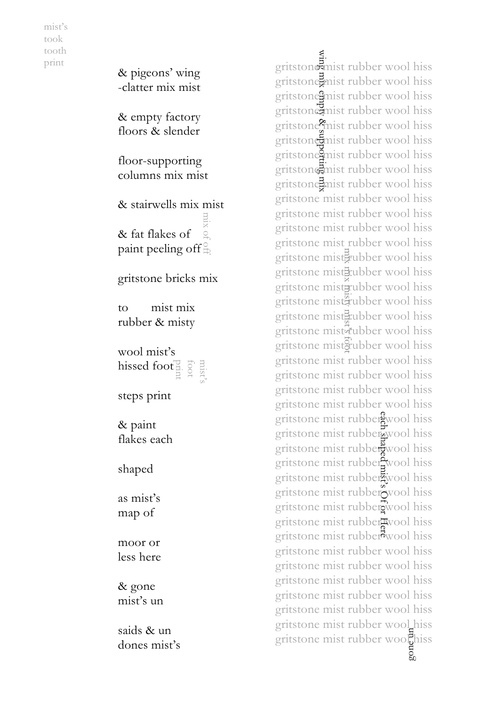mist's took tooth print

hissed foot $\frac{13}{4}$   $\frac{5}{4}$   $\frac{13}{4}$ & pigeons' wing -clatter mix mist & empty factory floors & slender floor -supporting columns mix mist & stairwells mix mist & fat flakes of paint peeling off $\frac{6}{10}$ gritstone bricks mix to mist mix rubber & misty wool mist's steps print & paint flakes each shaped as mist's map of moor or less here & gone mist's un mix of off

saids & un dones mist's gritstone mist rubber wool hiss gritstone mist rubber wool hiss gritstone mist rubber wool hiss gritstone mist rubber wool hiss gritstone?mist rubber wool hiss gritstone mist rubber wool hiss gritstone mist rubber wool hiss gritstone mist rubber wool hiss gritstone mist rubber wool hiss gritstone mist rubber wool hiss gritstone mist rubber wool hiss gritstone mist rubber wool hiss gritstone mist rubber wool hiss gritstone misterubber wool hiss gritstone mistEtubber wool hiss gritstone mistrubber wool hiss gritstone mistaubber wool hiss gritstone misteubber wool hiss gritstone misterubber wool hiss gritstone mistaubber wool hiss gritstone mist rubber wool hiss gritstone mist rubber wool hiss gritstone mist rubber wool hiss gritstone mist rubber wool hiss gritstone mist rubber wool hiss gritstone mist rubber wool hiss gritstone mist rubber wool hiss gritstone mist rubber wool hiss gritstone mist rubber wool hiss gritstone mist rubber wool hiss gritstone mist rubber wool hiss gritstone mist rubber wool hiss gritstone mist rubber wool hiss gritstone mist rubber wool hiss gritstone mist rubber wool hiss gritstone mist rubber wool hiss gritstone mist rubber wool hiss gritstone mist rubber wool hiss gritstone mist rubber wool hiss gritstone mist rubber wool hiss<br>gritstone mist rubber wool hiss<br>gritstone mist rubber wool hiss<br>gritstone mist rubber wool hiss<br>gritstone mist rubber wool hiss<br>gritstone mist rubber wool hiss<br>gritstone mist rubber wool his wing mix empty & supporting mix mix mix misty mist's foot gritstone mist rubber woolhiss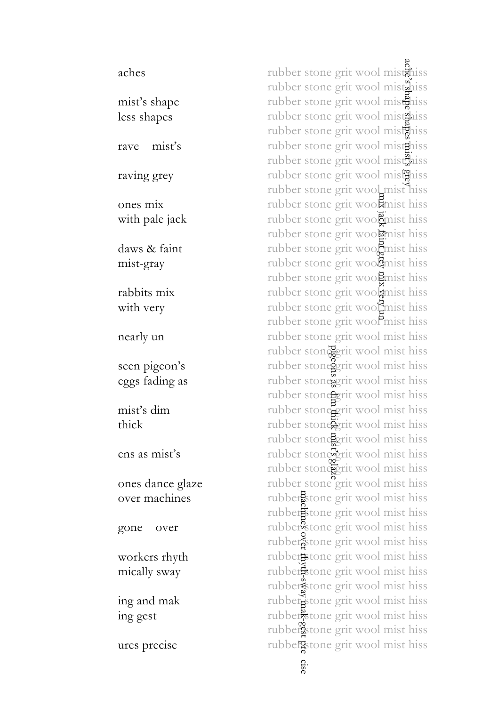aches mist's shape less shapes rave mist's raving grey ones mix with pale jack daws & faint mist -gray rabbits mix with very nearly un seen pigeon's eggs fading as mist's dim thick ens as mist's ones dance glaze over machines gone over workers rhyth mically sway ing and mak ing gest ures precise

ache's shape shapes mist's grey rubber stone grit wool mistaniss rubber stone grit wool mistaniss rubber stone grit wool mistaliss rubber stone grit wool mist<sup>2</sup>hiss rubber stone grit wool mistaniss rubber stone grit wool mist hiss rubber stone grit wool mist<sup>2</sup>hiss rubber stone grit wool mistaniss rubber stone grit wool mist hiss rubber stone grit wood mist hiss<br>rubber stone grit wood mist hiss<br>rubber stone grit wood mist hiss<br>rubber stone grit wood mist hiss<br>rubber stone grit wood mist hiss<br>rubber stone grit wood mist hiss<br>rubber stone grit wood m rubber stone grit woolkmist hiss rubber stone grit woo $\overline{B}$ mist hiss rubber stone grit wool mist hiss rubber stone grit wool mist hiss rubber stone grit woolmist hiss rubber stone grit wooll mist hiss rubber stone grit wool mist hiss rubber stone grit wood mist hiss rubber stone grit wool mist hiss rubber stone grit wool mist hiss rubber stone grit wool mist hiss pigeons as dim thick mist's glaze rubber stonegrit wool mist hiss rubber stone grit wool mist hiss rubber stone grit wool mist hiss rubber stone grit wool mist hiss rubber stoneerit wool mist hiss rubber stone grit wool mist hiss rubber stone grit wool mist hiss rubber stone grit wool mist hiss rubber stone grit wool mist hiss rubberstone grit wool mist hiss machines over rhyth-sway mak-gest pre ciserubber stone grit wool mist hiss rubber<sup>9</sup>stone grit wool mist hiss rubber stone grit wool mist hiss rubber stone grit wool mist hiss rubber stone grit wool mist hiss rubber stone grit wool mist hiss rubber stone grit wool mist hiss rubber stone grit wool mist hiss rubber stone grit wool mist hiss cise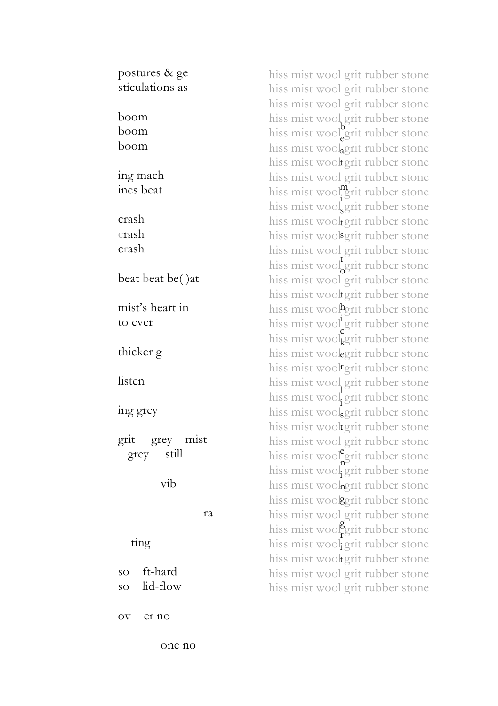postures & ge sticulations as boom boom boom ing mach ines beat crash crash crash beat beat be() at mist's heart in to ever thicker g listen ing grey grit grey mist grey still vib ra ting so ft-hard so lid-flow ov er no

hiss mist wool grit rubber stone hiss mist wool grit rubber stone hiss mist wool grit rubber stone hiss mist wool grit rubber stone hiss mist wool grit rubber stone hiss mist woolagrit rubber stone hiss mist wooltgrit rubber stone hiss mist wool grit rubber stone hiss mist wool<sup>m</sup>grit rubber stone hiss mist wool grit rubber stone hiss mist wooltgrit rubber stone hiss mist woolsgrit rubber stone hiss mist wool grit rubber stone hiss mist wool grit rubber stone hiss mist wool grit rubber stone hiss mist wooltgrit rubber stone hiss mist wool<sup>h</sup>grit rubber stone hiss mist wool grit rubber stone hiss mist woolgerit rubber stone hiss mist woolegrit rubber stone hiss mist wool grit rubber stone hiss mist wool grit rubber stone hiss mist wool grit rubber stone hiss mist woolggrit rubber stone hiss mist wooltgrit rubber stone hiss mist wool grit rubber stone hiss mist wool<sup>e</sup>grit rubber stone hiss mist wool grit rubber stone hiss mist woolngrit rubber stone hiss mist woolgerit rubber stone hiss mist wool grit rubber stone hiss mist wool<sup>o</sup>grit rubber stone hiss mist wool grit rubber stone hiss mist wooltgrit rubber stone hiss mist wool grit rubber stone hiss mist wool grit rubber stone e s o c i e n i r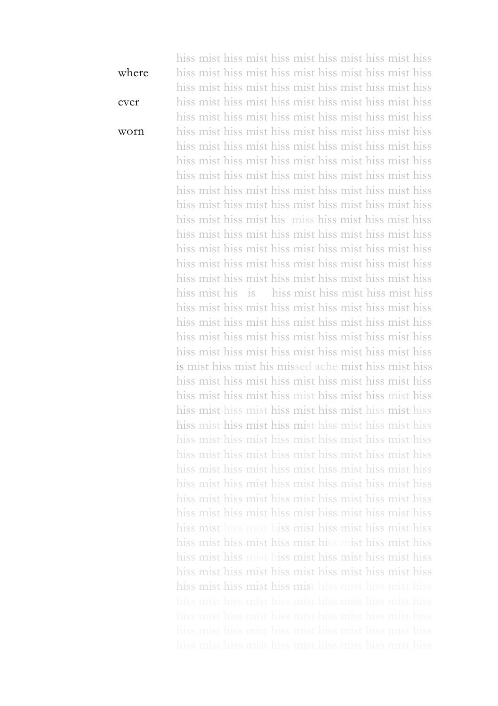where ever worn hiss mist hiss mist hiss mist hiss mist hiss mist hiss hiss mist hiss mist hiss mist hiss mist hiss mist hiss hiss mist hiss mist hiss mist hiss mist hiss mist hiss hiss mist hiss mist hiss mist hiss mist hiss mist hiss hiss mist hiss mist hiss mist hiss mist hiss mist hiss hiss mist hiss mist hiss mist hiss mist hiss mist hiss hiss mist hiss mist hiss mist hiss mist hiss mist hiss hiss mist hiss mist hiss mist hiss mist hiss mist hiss hiss mist hiss mist hiss mist hiss mist hiss mist hiss hiss mist hiss mist hiss mist hiss mist hiss mist hiss hiss mist hiss mist hiss mist hiss mist hiss mist hiss hiss mist hiss mist his miss hiss mist hiss mist hiss hiss mist hiss mist hiss mist hiss mist hiss mist hiss hiss mist hiss mist hiss mist hiss mist hiss mist hiss hiss mist hiss mist hiss mist hiss mist hiss mist hiss hiss mist hiss mist hiss mist hiss mist hiss mist hiss hiss mist his is hiss mist hiss mist hiss mist hiss hiss mist hiss mist hiss mist hiss mist hiss mist hiss hiss mist hiss mist hiss mist hiss mist hiss mist hiss hiss mist hiss mist hiss mist hiss mist hiss mist hiss hiss mist hiss mist hiss mist hiss mist hiss mist hiss is mist hiss mist his missed ache mist hiss mist hiss hiss mist hiss mist hiss mist hiss mist hiss mist hiss hiss mist hiss mist hiss mist hiss mist hiss mist hiss hiss mist hiss mist hiss mist hiss mist hiss mist hiss hiss mist hiss mist hiss mist hiss mist hiss mist hiss